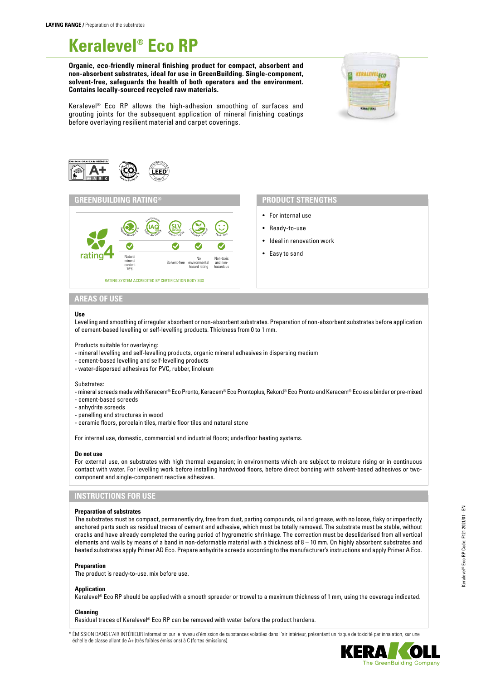# **Keralevel® Eco RP**

**Organic, eco-friendly mineral finishing product for compact, absorbent and non-absorbent substrates, ideal for use in GreenBuilding. Single-component, solvent-free, safeguards the health of both operators and the environment. Contains locally-sourced recycled raw materials.**



Keralevel® Eco RP allows the high-adhesion smoothing of surfaces and grouting joints for the subsequent application of mineral finishing coatings before overlaying resilient material and carpet coverings.





# **PRODUCT STRENGTHS**

- For internal use
- Ready-to-use
- Ideal in renovation work
- Easy to sand

## **AREAS OF USE**

#### **Use**

Levelling and smoothing of irregular absorbent or non-absorbent substrates. Preparation of non-absorbent substrates before application of cement-based levelling or self-levelling products. Thickness from 0 to 1 mm.

Products suitable for overlaying:

- mineral levelling and self-levelling products, organic mineral adhesives in dispersing medium
- cement-based levelling and self-levelling products
- water-dispersed adhesives for PVC, rubber, linoleum

#### Substrates:

- mineral screeds made with Keracem® Eco Pronto, Keracem® Eco Prontoplus, Rekord® Eco Pronto and Keracem® Eco as a binder or pre-mixed
- cement-based screeds
- anhydrite screeds
- panelling and structures in wood
- ceramic floors, porcelain tiles, marble floor tiles and natural stone

For internal use, domestic, commercial and industrial floors; underfloor heating systems.

#### **Do not use**

For external use, on substrates with high thermal expansion; in environments which are subject to moisture rising or in continuous contact with water. For levelling work before installing hardwood floors, before direct bonding with solvent-based adhesives or twocomponent and single-component reactive adhesives.

# **INSTRUCTIONS FOR USE**

#### **Preparation of substrates**

The substrates must be compact, permanently dry, free from dust, parting compounds, oil and grease, with no loose, flaky or imperfectly anchored parts such as residual traces of cement and adhesive, which must be totally removed. The substrate must be stable, without cracks and have already completed the curing period of hygrometric shrinkage. The correction must be desolidarised from all vertical elements and walls by means of a band in non-deformable material with a thickness of 8 – 10 mm. On highly absorbent substrates and heated substrates apply Primer AD Eco. Prepare anhydrite screeds according to the manufacturer's instructions and apply Primer A Eco.

#### **Preparation**

The product is ready-to-use. mix before use.

#### **Application**

Keralevel® Eco RP should be applied with a smooth spreader or trowel to a maximum thickness of 1 mm, using the coverage indicated.

### **Cleaning**

Residual traces of Keralevel® Eco RP can be removed with water before the product hardens.

ÉMISSION DANS L'AIR INTÉRIEUR Information sur le niveau d'émission de substances volatiles dans l'air intérieur, présentant un risque de toxicité par inhalation, sur une échelle de classe allant de A+ (très faibles émissions) à C (fortes émissions).

Keralevel® Eco RP Code: F121 2021/01 - EN

Keralevel® Eco RP Code: F121 2021/01 - EN